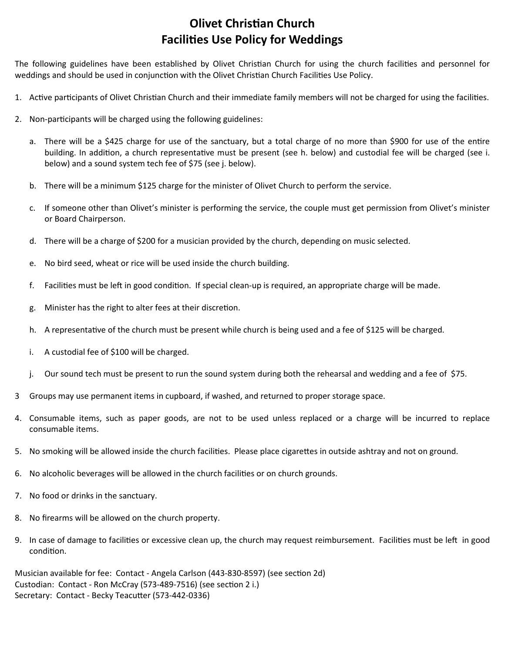## **Olivet Christian Church** Facilies Use Policy for Weddings

The following guidelines have been established by Olivet Christian Church for using the church facilities and personnel for weddings and should be used in conjunction with the Olivet Christian Church Facilities Use Policy.

- 1. Active participants of Olivet Christian Church and their immediate family members will not be charged for using the facilities.
- 2. Non-participants will be charged using the following guidelines:
	- a. There will be a \$425 charge for use of the sanctuary, but a total charge of no more than \$900 for use of the entire building. In addition, a church representative must be present (see h. below) and custodial fee will be charged (see i. below) and a sound system tech fee of \$75 (see j. below).
	- b. There will be a minimum \$125 charge for the minister of Olivet Church to perform the service.
	- c. If someone other than Olivet's minister is performing the service, the couple must get permission from Olivet's minister or Board Chairperson.
	- d. There will be a charge of \$200 for a musician provided by the church, depending on music selected.
	- e. No bird seed, wheat or rice will be used inside the church building.
	- f. Facilities must be left in good condition. If special clean-up is required, an appropriate charge will be made.
	- g. Minister has the right to alter fees at their discretion.
	- h. A representative of the church must be present while church is being used and a fee of \$125 will be charged.
	- i. A custodial fee of \$100 will be charged.
	- j. Our sound tech must be present to run the sound system during both the rehearsal and wedding and a fee of \$75.
- 3 Groups may use permanent items in cupboard, if washed, and returned to proper storage space.
- 4. Consumable items, such as paper goods, are not to be used unless replaced or a charge will be incurred to replace consumable items.
- 5. No smoking will be allowed inside the church facilities. Please place cigarettes in outside ashtray and not on ground.
- 6. No alcoholic beverages will be allowed in the church facilies or on church grounds.
- 7. No food or drinks in the sanctuary.
- 8. No firearms will be allowed on the church property.
- 9. In case of damage to facilities or excessive clean up, the church may request reimbursement. Facilities must be left in good condition.

Musician available for fee: Contact - Angela Carlson (443-830-8597) (see section 2d) Custodian: Contact - Ron McCray (573-489-7516) (see section 2 i.) Secretary: Contact - Becky Teacutter (573-442-0336)